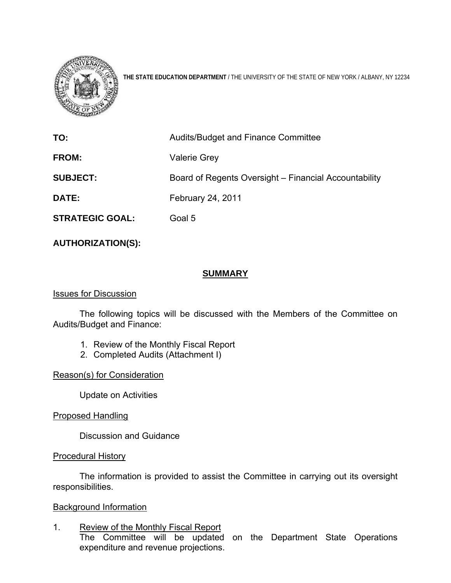

**THE STATE EDUCATION DEPARTMENT** / THE UNIVERSITY OF THE STATE OF NEW YORK / ALBANY, NY 12234

| TO:                    | Audits/Budget and Finance Committee                   |
|------------------------|-------------------------------------------------------|
| <b>FROM:</b>           | <b>Valerie Grey</b>                                   |
| <b>SUBJECT:</b>        | Board of Regents Oversight – Financial Accountability |
| <b>DATE:</b>           | <b>February 24, 2011</b>                              |
| <b>STRATEGIC GOAL:</b> | Goal 5                                                |

# **AUTHORIZATION(S):**

# **SUMMARY**

### Issues for Discussion

 The following topics will be discussed with the Members of the Committee on Audits/Budget and Finance:

- 1. Review of the Monthly Fiscal Report
- 2. Completed Audits (Attachment I)

Reason(s) for Consideration

Update on Activities

Proposed Handling

Discussion and Guidance

# Procedural History

The information is provided to assist the Committee in carrying out its oversight responsibilities.

# Background Information

1. Review of the Monthly Fiscal Report The Committee will be updated on the Department State Operations expenditure and revenue projections.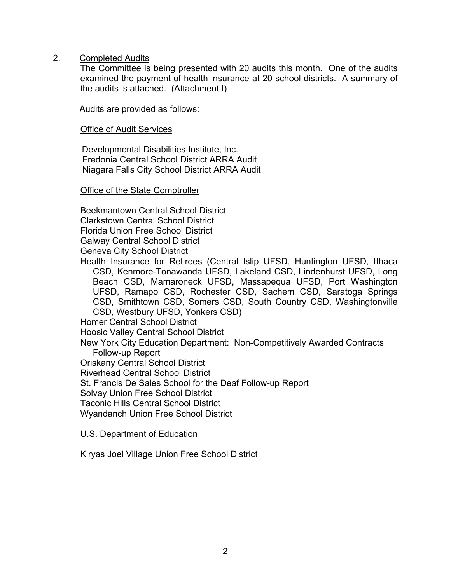2. Completed Audits

The Committee is being presented with 20 audits this month. One of the audits examined the payment of health insurance at 20 school districts. A summary of the audits is attached. (Attachment I)

Audits are provided as follows:

#### **Office of Audit Services**

 Developmental Disabilities Institute, Inc. Fredonia Central School District ARRA Audit Niagara Falls City School District ARRA Audit

#### Office of the State Comptroller

Beekmantown Central School District Clarkstown Central School District Florida Union Free School District Galway Central School District

Geneva City School District

Health Insurance for Retirees (Central Islip UFSD, Huntington UFSD, Ithaca CSD, Kenmore-Tonawanda UFSD, Lakeland CSD, Lindenhurst UFSD, Long Beach CSD, Mamaroneck UFSD, Massapequa UFSD, Port Washington UFSD, Ramapo CSD, Rochester CSD, Sachem CSD, Saratoga Springs CSD, Smithtown CSD, Somers CSD, South Country CSD, Washingtonville CSD, Westbury UFSD, Yonkers CSD)

Homer Central School District

Hoosic Valley Central School District

New York City Education Department: Non-Competitively Awarded Contracts Follow-up Report

Oriskany Central School District

Riverhead Central School District

St. Francis De Sales School for the Deaf Follow-up Report

Solvay Union Free School District

Taconic Hills Central School District

Wyandanch Union Free School District

#### U.S. Department of Education

Kiryas Joel Village Union Free School District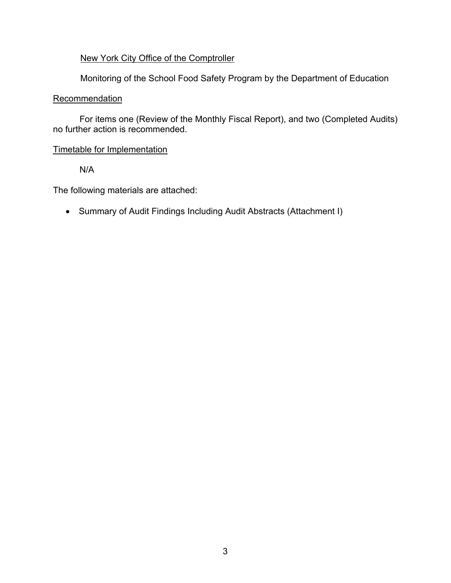# New York City Office of the Comptroller

Monitoring of the School Food Safety Program by the Department of Education

# **Recommendation**

For items one (Review of the Monthly Fiscal Report), and two (Completed Audits) no further action is recommended.

# Timetable for Implementation

N/A

The following materials are attached:

Summary of Audit Findings Including Audit Abstracts (Attachment I)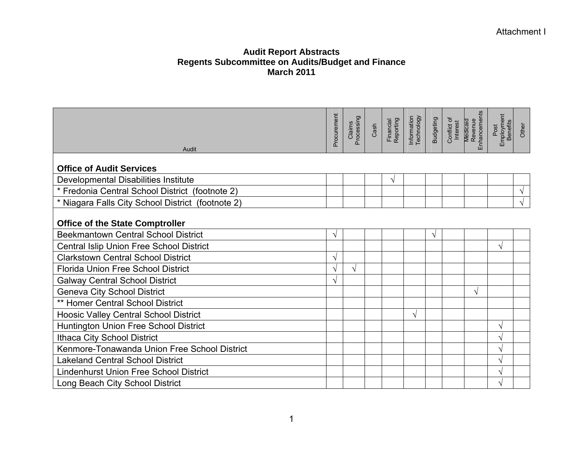#### Attachment I

| Audit                                             | Procurement | Claims<br>Processing | Cash | Financial<br>Reporting | Information<br>Technology | <b>Budgeting</b> | Conflict of<br>Interest | Revenue<br>Enhancements<br><b>Medicaid</b> | Employment<br>Benefits<br>Post | Other     |
|---------------------------------------------------|-------------|----------------------|------|------------------------|---------------------------|------------------|-------------------------|--------------------------------------------|--------------------------------|-----------|
| <b>Office of Audit Services</b>                   |             |                      |      |                        |                           |                  |                         |                                            |                                |           |
| Developmental Disabilities Institute              |             |                      |      | V                      |                           |                  |                         |                                            |                                |           |
| * Fredonia Central School District (footnote 2)   |             |                      |      |                        |                           |                  |                         |                                            |                                | $\sqrt{}$ |
| * Niagara Falls City School District (footnote 2) |             |                      |      |                        |                           |                  |                         |                                            |                                |           |
| <b>Office of the State Comptroller</b>            |             |                      |      |                        |                           |                  |                         |                                            |                                |           |
| <b>Beekmantown Central School District</b>        | V           |                      |      |                        |                           | V                |                         |                                            |                                |           |
| <b>Central Islip Union Free School District</b>   |             |                      |      |                        |                           |                  |                         |                                            | V                              |           |
| <b>Clarkstown Central School District</b>         |             |                      |      |                        |                           |                  |                         |                                            |                                |           |
| <b>Florida Union Free School District</b>         |             | V                    |      |                        |                           |                  |                         |                                            |                                |           |
| <b>Galway Central School District</b>             | V           |                      |      |                        |                           |                  |                         |                                            |                                |           |
| <b>Geneva City School District</b>                |             |                      |      |                        |                           |                  |                         | V                                          |                                |           |
| ** Homer Central School District                  |             |                      |      |                        |                           |                  |                         |                                            |                                |           |
| <b>Hoosic Valley Central School District</b>      |             |                      |      |                        | $\sqrt{}$                 |                  |                         |                                            |                                |           |
| Huntington Union Free School District             |             |                      |      |                        |                           |                  |                         |                                            | V                              |           |
| <b>Ithaca City School District</b>                |             |                      |      |                        |                           |                  |                         |                                            | V                              |           |
| Kenmore-Tonawanda Union Free School District      |             |                      |      |                        |                           |                  |                         |                                            | V                              |           |
| <b>Lakeland Central School District</b>           |             |                      |      |                        |                           |                  |                         |                                            | V                              |           |
| <b>Lindenhurst Union Free School District</b>     |             |                      |      |                        |                           |                  |                         |                                            | V                              |           |
| Long Beach City School District                   |             |                      |      |                        |                           |                  |                         |                                            |                                |           |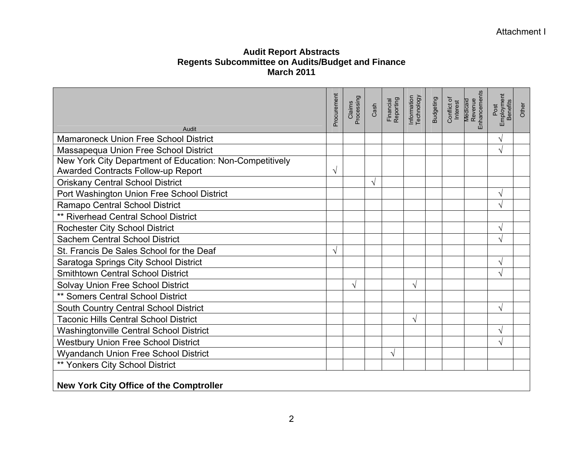| Audit                                                                                                 | Procurement | Claims<br>Processing | Cash | Financial<br>Reporting | Information<br>Technology | <b>Budgeting</b> | Conflict of<br>Interest | Revenue<br>Enhancements<br>Medicaid | Employment<br>Benefits<br>Post | Other |
|-------------------------------------------------------------------------------------------------------|-------------|----------------------|------|------------------------|---------------------------|------------------|-------------------------|-------------------------------------|--------------------------------|-------|
| <b>Mamaroneck Union Free School District</b>                                                          |             |                      |      |                        |                           |                  |                         |                                     | V                              |       |
| Massapequa Union Free School District                                                                 |             |                      |      |                        |                           |                  |                         |                                     | V                              |       |
| New York City Department of Education: Non-Competitively<br><b>Awarded Contracts Follow-up Report</b> | V           |                      |      |                        |                           |                  |                         |                                     |                                |       |
| <b>Oriskany Central School District</b>                                                               |             |                      | V    |                        |                           |                  |                         |                                     |                                |       |
| Port Washington Union Free School District                                                            |             |                      |      |                        |                           |                  |                         |                                     | V                              |       |
| Ramapo Central School District                                                                        |             |                      |      |                        |                           |                  |                         |                                     | √                              |       |
| <b>** Riverhead Central School District</b>                                                           |             |                      |      |                        |                           |                  |                         |                                     |                                |       |
| <b>Rochester City School District</b>                                                                 |             |                      |      |                        |                           |                  |                         |                                     | V                              |       |
| <b>Sachem Central School District</b>                                                                 |             |                      |      |                        |                           |                  |                         |                                     | √                              |       |
| St. Francis De Sales School for the Deaf                                                              |             |                      |      |                        |                           |                  |                         |                                     |                                |       |
| Saratoga Springs City School District                                                                 |             |                      |      |                        |                           |                  |                         |                                     | V                              |       |
| <b>Smithtown Central School District</b>                                                              |             |                      |      |                        |                           |                  |                         |                                     | $\sqrt{}$                      |       |
| Solvay Union Free School District                                                                     |             | V                    |      |                        | V                         |                  |                         |                                     |                                |       |
| ** Somers Central School District                                                                     |             |                      |      |                        |                           |                  |                         |                                     |                                |       |
| South Country Central School District                                                                 |             |                      |      |                        |                           |                  |                         |                                     | V                              |       |
| <b>Taconic Hills Central School District</b>                                                          |             |                      |      |                        | V                         |                  |                         |                                     |                                |       |
| <b>Washingtonville Central School District</b>                                                        |             |                      |      |                        |                           |                  |                         |                                     | V                              |       |
| <b>Westbury Union Free School District</b>                                                            |             |                      |      |                        |                           |                  |                         |                                     | V                              |       |
| <b>Wyandanch Union Free School District</b>                                                           |             |                      |      | V                      |                           |                  |                         |                                     |                                |       |
| ** Yonkers City School District                                                                       |             |                      |      |                        |                           |                  |                         |                                     |                                |       |
| <b>New York City Office of the Comptroller</b>                                                        |             |                      |      |                        |                           |                  |                         |                                     |                                |       |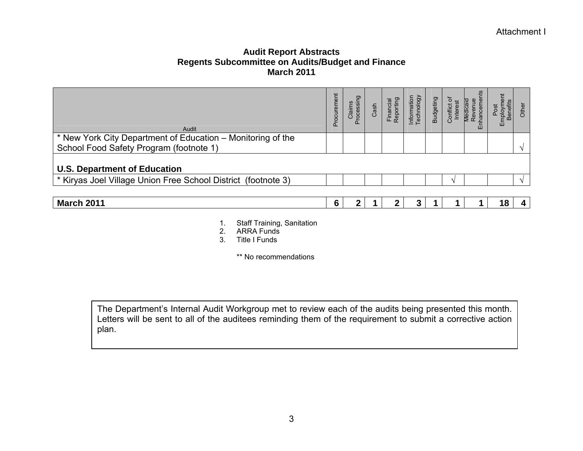| Audit                                                                                                  | rement<br>Procur | Claims<br>roces<br>≏ | Cash | inan | Information<br>Technology | <b>Budgeting</b> | ō<br>Conflict | ш | mploy<br>Bene<br>ш | Ř |
|--------------------------------------------------------------------------------------------------------|------------------|----------------------|------|------|---------------------------|------------------|---------------|---|--------------------|---|
| * New York City Department of Education – Monitoring of the<br>School Food Safety Program (footnote 1) |                  |                      |      |      |                           |                  |               |   |                    |   |
| <b>U.S. Department of Education</b>                                                                    |                  |                      |      |      |                           |                  |               |   |                    |   |
| * Kiryas Joel Village Union Free School District (footnote 3)                                          |                  |                      |      |      |                           |                  | $\Delta$      |   |                    |   |
|                                                                                                        |                  |                      |      |      |                           |                  |               |   |                    |   |

| ነ 2011<br>Marc' | <br>. . | . |  |  | $\sim$<br>4 O<br>-<br>. . | ,, |
|-----------------|---------|---|--|--|---------------------------|----|
|                 |         |   |  |  |                           |    |

- 1. Staff Training, Sanitation
- 2. ARRA Funds
- 3. Title I Funds

\*\* No recommendations

The Department's Internal Audit Workgroup met to review each of the audits being presented this month. Letters will be sent to all of the auditees reminding them of the requirement to submit a corrective action plan.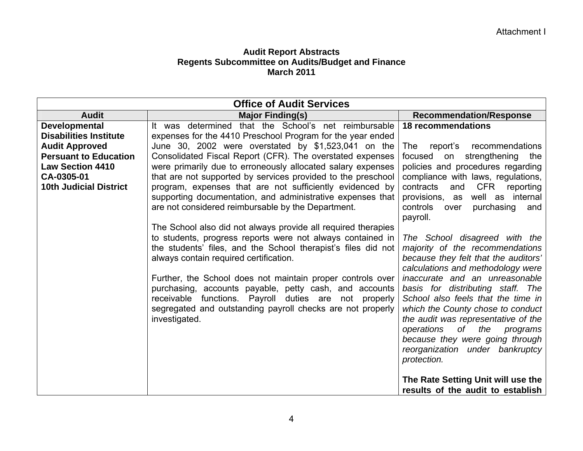| <b>Office of Audit Services</b> |                                                               |                                                                         |  |  |  |  |
|---------------------------------|---------------------------------------------------------------|-------------------------------------------------------------------------|--|--|--|--|
| <b>Audit</b>                    | <b>Major Finding(s)</b>                                       | <b>Recommendation/Response</b>                                          |  |  |  |  |
| <b>Developmental</b>            | It was determined that the School's net reimbursable          | <b>18 recommendations</b>                                               |  |  |  |  |
| <b>Disabilities Institute</b>   | expenses for the 4410 Preschool Program for the year ended    |                                                                         |  |  |  |  |
| <b>Audit Approved</b>           | June 30, 2002 were overstated by \$1,523,041 on the           | <b>The</b><br>report's recommendations                                  |  |  |  |  |
| <b>Persuant to Education</b>    | Consolidated Fiscal Report (CFR). The overstated expenses     | focused<br>on strengthening the                                         |  |  |  |  |
| <b>Law Section 4410</b>         | were primarily due to erroneously allocated salary expenses   | policies and procedures regarding                                       |  |  |  |  |
| CA-0305-01                      | that are not supported by services provided to the preschool  | compliance with laws, regulations,                                      |  |  |  |  |
| <b>10th Judicial District</b>   | program, expenses that are not sufficiently evidenced by      | CFR reporting<br>contracts<br>and                                       |  |  |  |  |
|                                 | supporting documentation, and administrative expenses that    | well as internal<br>provisions, as                                      |  |  |  |  |
|                                 | are not considered reimbursable by the Department.            | purchasing<br>controls<br>over<br>and<br>payroll.                       |  |  |  |  |
|                                 | The School also did not always provide all required therapies |                                                                         |  |  |  |  |
|                                 | to students, progress reports were not always contained in    | The School disagreed with the                                           |  |  |  |  |
|                                 | the students' files, and the School therapist's files did not | majority of the recommendations                                         |  |  |  |  |
|                                 | always contain required certification.                        | because they felt that the auditors'                                    |  |  |  |  |
|                                 |                                                               | calculations and methodology were                                       |  |  |  |  |
|                                 | Further, the School does not maintain proper controls over    | inaccurate and an unreasonable                                          |  |  |  |  |
|                                 | purchasing, accounts payable, petty cash, and accounts        | basis for distributing staff. The                                       |  |  |  |  |
|                                 | receivable functions. Payroll duties are not properly         | School also feels that the time in                                      |  |  |  |  |
|                                 | segregated and outstanding payroll checks are not properly    | which the County chose to conduct                                       |  |  |  |  |
|                                 | investigated.                                                 | the audit was representative of the                                     |  |  |  |  |
|                                 |                                                               | of _<br>the<br>operations<br>programs                                   |  |  |  |  |
|                                 |                                                               | because they were going through                                         |  |  |  |  |
|                                 |                                                               | reorganization under bankruptcy                                         |  |  |  |  |
|                                 |                                                               | protection.                                                             |  |  |  |  |
|                                 |                                                               |                                                                         |  |  |  |  |
|                                 |                                                               | The Rate Setting Unit will use the<br>results of the audit to establish |  |  |  |  |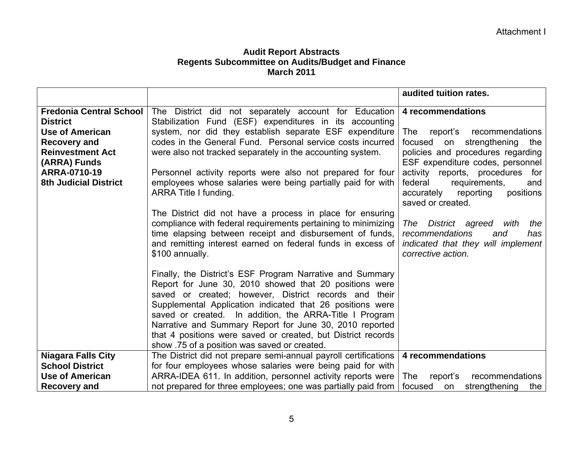|                                                                                                                                                                                               |                                                                                                                                                                                                                                                                                                                                                                                                                                                                                 | audited tuition rates.                                                                                                                                                                                                                                                                 |
|-----------------------------------------------------------------------------------------------------------------------------------------------------------------------------------------------|---------------------------------------------------------------------------------------------------------------------------------------------------------------------------------------------------------------------------------------------------------------------------------------------------------------------------------------------------------------------------------------------------------------------------------------------------------------------------------|----------------------------------------------------------------------------------------------------------------------------------------------------------------------------------------------------------------------------------------------------------------------------------------|
| <b>Fredonia Central School</b><br><b>District</b><br><b>Use of American</b><br><b>Recovery and</b><br><b>Reinvestment Act</b><br>(ARRA) Funds<br>ARRA-0710-19<br><b>8th Judicial District</b> | The District did not separately account for Education<br>Stabilization Fund (ESF) expenditures in its accounting<br>system, nor did they establish separate ESF expenditure<br>codes in the General Fund. Personal service costs incurred<br>were also not tracked separately in the accounting system.<br>Personnel activity reports were also not prepared for four<br>employees whose salaries were being partially paid for with<br>ARRA Title I funding.                   | 4 recommendations<br><b>The</b><br>report's recommendations<br>focused on strengthening<br>the<br>policies and procedures regarding<br>ESF expenditure codes, personnel<br>activity reports, procedures for<br>federal<br>requirements,<br>and<br>positions<br>accurately<br>reporting |
|                                                                                                                                                                                               | The District did not have a process in place for ensuring<br>compliance with federal requirements pertaining to minimizing<br>time elapsing between receipt and disbursement of funds,<br>and remitting interest earned on federal funds in excess of<br>\$100 annually.                                                                                                                                                                                                        | saved or created.<br>The District agreed<br>with<br>the<br>recommendations<br>and<br>has<br>indicated that they will implement<br>corrective action.                                                                                                                                   |
|                                                                                                                                                                                               | Finally, the District's ESF Program Narrative and Summary<br>Report for June 30, 2010 showed that 20 positions were<br>saved or created; however, District records and their<br>Supplemental Application indicated that 26 positions were<br>saved or created. In addition, the ARRA-Title I Program<br>Narrative and Summary Report for June 30, 2010 reported<br>that 4 positions were saved or created, but District records<br>show .75 of a position was saved or created. |                                                                                                                                                                                                                                                                                        |
| <b>Niagara Falls City</b>                                                                                                                                                                     | The District did not prepare semi-annual payroll certifications                                                                                                                                                                                                                                                                                                                                                                                                                 | 4 recommendations                                                                                                                                                                                                                                                                      |
| <b>School District</b><br><b>Use of American</b>                                                                                                                                              | for four employees whose salaries were being paid for with                                                                                                                                                                                                                                                                                                                                                                                                                      |                                                                                                                                                                                                                                                                                        |
| <b>Recovery and</b>                                                                                                                                                                           | ARRA-IDEA 611. In addition, personnel activity reports were<br>not prepared for three employees; one was partially paid from                                                                                                                                                                                                                                                                                                                                                    | <b>The</b><br>report's<br>recommendations<br>focused<br>strengthening<br>the<br>on                                                                                                                                                                                                     |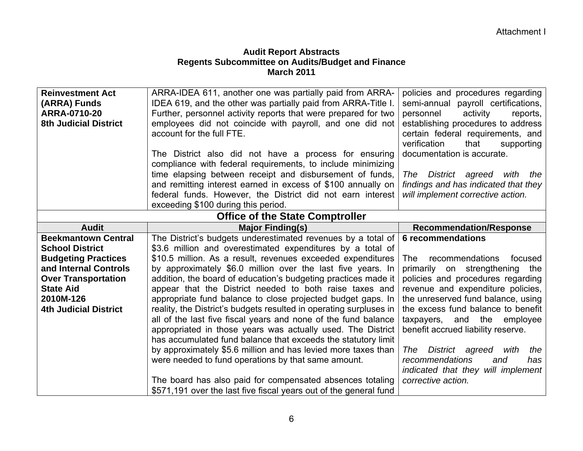| <b>Reinvestment Act</b>                | ARRA-IDEA 611, another one was partially paid from ARRA-           | policies and procedures regarding       |  |  |  |  |  |
|----------------------------------------|--------------------------------------------------------------------|-----------------------------------------|--|--|--|--|--|
| (ARRA) Funds                           | IDEA 619, and the other was partially paid from ARRA-Title I.      | semi-annual payroll certifications,     |  |  |  |  |  |
| <b>ARRA-0710-20</b>                    | Further, personnel activity reports that were prepared for two     | personnel<br>activity<br>reports,       |  |  |  |  |  |
| <b>8th Judicial District</b>           | employees did not coincide with payroll, and one did not           | establishing procedures to address      |  |  |  |  |  |
|                                        | account for the full FTE.                                          | certain federal requirements, and       |  |  |  |  |  |
|                                        |                                                                    | verification<br>that<br>supporting      |  |  |  |  |  |
|                                        | The District also did not have a process for ensuring              | documentation is accurate.              |  |  |  |  |  |
|                                        | compliance with federal requirements, to include minimizing        |                                         |  |  |  |  |  |
|                                        | time elapsing between receipt and disbursement of funds,           | District agreed<br>with<br>The<br>the   |  |  |  |  |  |
|                                        | and remitting interest earned in excess of \$100 annually on       | findings and has indicated that they    |  |  |  |  |  |
|                                        | federal funds. However, the District did not earn interest         | will implement corrective action.       |  |  |  |  |  |
|                                        | exceeding \$100 during this period.                                |                                         |  |  |  |  |  |
| <b>Office of the State Comptroller</b> |                                                                    |                                         |  |  |  |  |  |
| <b>Audit</b>                           | <b>Major Finding(s)</b>                                            | <b>Recommendation/Response</b>          |  |  |  |  |  |
| <b>Beekmantown Central</b>             | The District's budgets underestimated revenues by a total of       | 6 recommendations                       |  |  |  |  |  |
| <b>School District</b>                 | \$3.6 million and overestimated expenditures by a total of         |                                         |  |  |  |  |  |
| <b>Budgeting Practices</b>             | \$10.5 million. As a result, revenues exceeded expenditures        | recommendations<br>focused<br>The:      |  |  |  |  |  |
| and Internal Controls                  | by approximately \$6.0 million over the last five years. In        | primarily<br>strengthening<br>on<br>the |  |  |  |  |  |
| <b>Over Transportation</b>             | addition, the board of education's budgeting practices made it     | policies and procedures regarding       |  |  |  |  |  |
| <b>State Aid</b>                       | appear that the District needed to both raise taxes and            | revenue and expenditure policies,       |  |  |  |  |  |
| 2010M-126                              | appropriate fund balance to close projected budget gaps. In        | the unreserved fund balance, using      |  |  |  |  |  |
| <b>4th Judicial District</b>           | reality, the District's budgets resulted in operating surpluses in | the excess fund balance to benefit      |  |  |  |  |  |
|                                        | all of the last five fiscal years and none of the fund balance     | taxpayers, and the<br>employee          |  |  |  |  |  |
|                                        | appropriated in those years was actually used. The District        | benefit accrued liability reserve.      |  |  |  |  |  |
|                                        | has accumulated fund balance that exceeds the statutory limit      |                                         |  |  |  |  |  |
|                                        | by approximately \$5.6 million and has levied more taxes than      | District agreed<br>The<br>with<br>the   |  |  |  |  |  |
|                                        | were needed to fund operations by that same amount.                | recommendations<br>and<br>has           |  |  |  |  |  |
|                                        |                                                                    | indicated that they will implement      |  |  |  |  |  |
|                                        | The board has also paid for compensated absences totaling          | corrective action.                      |  |  |  |  |  |
|                                        | \$571,191 over the last five fiscal years out of the general fund  |                                         |  |  |  |  |  |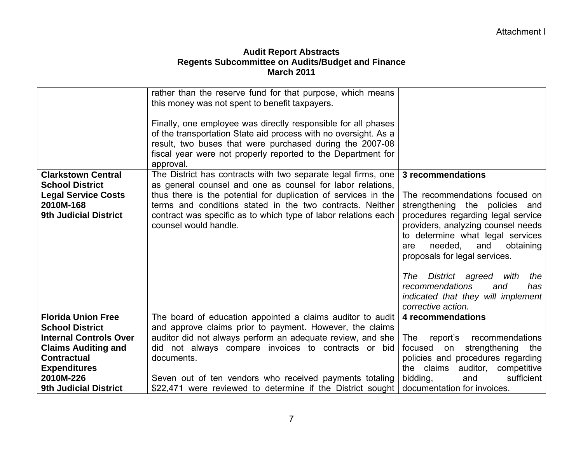| <b>Clarkstown Central</b><br><b>School District</b><br><b>Legal Service Costs</b><br>2010M-168<br><b>9th Judicial District</b> | rather than the reserve fund for that purpose, which means<br>this money was not spent to benefit taxpayers.<br>Finally, one employee was directly responsible for all phases<br>of the transportation State aid process with no oversight. As a<br>result, two buses that were purchased during the 2007-08<br>fiscal year were not properly reported to the Department for<br>approval.<br>The District has contracts with two separate legal firms, one<br>as general counsel and one as counsel for labor relations,<br>thus there is the potential for duplication of services in the<br>terms and conditions stated in the two contracts. Neither<br>contract was specific as to which type of labor relations each<br>counsel would handle. | 3 recommendations<br>The recommendations focused on<br>strengthening the policies and<br>procedures regarding legal service<br>providers, analyzing counsel needs<br>to determine what legal services<br>needed,<br>and<br>obtaining<br>are<br>proposals for legal services.<br>District agreed with<br>the<br>The<br>recommendations<br>and<br>has<br>indicated that they will implement |
|--------------------------------------------------------------------------------------------------------------------------------|----------------------------------------------------------------------------------------------------------------------------------------------------------------------------------------------------------------------------------------------------------------------------------------------------------------------------------------------------------------------------------------------------------------------------------------------------------------------------------------------------------------------------------------------------------------------------------------------------------------------------------------------------------------------------------------------------------------------------------------------------|-------------------------------------------------------------------------------------------------------------------------------------------------------------------------------------------------------------------------------------------------------------------------------------------------------------------------------------------------------------------------------------------|
| <b>Florida Union Free</b>                                                                                                      | The board of education appointed a claims auditor to audit                                                                                                                                                                                                                                                                                                                                                                                                                                                                                                                                                                                                                                                                                         | corrective action.<br>4 recommendations                                                                                                                                                                                                                                                                                                                                                   |
| <b>School District</b>                                                                                                         | and approve claims prior to payment. However, the claims                                                                                                                                                                                                                                                                                                                                                                                                                                                                                                                                                                                                                                                                                           |                                                                                                                                                                                                                                                                                                                                                                                           |
| <b>Internal Controls Over</b>                                                                                                  | auditor did not always perform an adequate review, and she                                                                                                                                                                                                                                                                                                                                                                                                                                                                                                                                                                                                                                                                                         | recommendations<br>report's<br>The l                                                                                                                                                                                                                                                                                                                                                      |
| <b>Claims Auditing and</b>                                                                                                     | did not always compare invoices to contracts or bid                                                                                                                                                                                                                                                                                                                                                                                                                                                                                                                                                                                                                                                                                                | strengthening<br>focused on<br>the                                                                                                                                                                                                                                                                                                                                                        |
| <b>Contractual</b>                                                                                                             | documents.                                                                                                                                                                                                                                                                                                                                                                                                                                                                                                                                                                                                                                                                                                                                         | policies and procedures regarding                                                                                                                                                                                                                                                                                                                                                         |
| <b>Expenditures</b>                                                                                                            |                                                                                                                                                                                                                                                                                                                                                                                                                                                                                                                                                                                                                                                                                                                                                    | the claims<br>auditor, competitive                                                                                                                                                                                                                                                                                                                                                        |
| 2010M-226                                                                                                                      | Seven out of ten vendors who received payments totaling                                                                                                                                                                                                                                                                                                                                                                                                                                                                                                                                                                                                                                                                                            | bidding,<br>sufficient<br>and                                                                                                                                                                                                                                                                                                                                                             |
| <b>9th Judicial District</b>                                                                                                   | \$22,471 were reviewed to determine if the District sought                                                                                                                                                                                                                                                                                                                                                                                                                                                                                                                                                                                                                                                                                         | documentation for invoices.                                                                                                                                                                                                                                                                                                                                                               |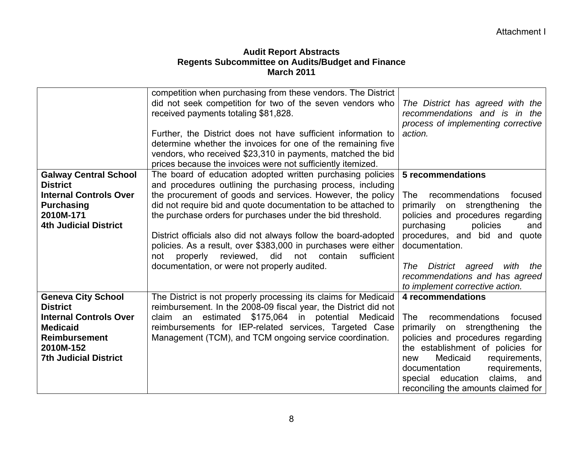|                               | competition when purchasing from these vendors. The District<br>did not seek competition for two of the seven vendors who<br>received payments totaling \$81,828.<br>Further, the District does not have sufficient information to<br>determine whether the invoices for one of the remaining five<br>vendors, who received \$23,310 in payments, matched the bid<br>prices because the invoices were not sufficiently itemized. | The District has agreed with the<br>recommendations and is in the<br>process of implementing corrective<br>action. |
|-------------------------------|----------------------------------------------------------------------------------------------------------------------------------------------------------------------------------------------------------------------------------------------------------------------------------------------------------------------------------------------------------------------------------------------------------------------------------|--------------------------------------------------------------------------------------------------------------------|
| <b>Galway Central School</b>  | The board of education adopted written purchasing policies                                                                                                                                                                                                                                                                                                                                                                       | 5 recommendations                                                                                                  |
| <b>District</b>               | and procedures outlining the purchasing process, including                                                                                                                                                                                                                                                                                                                                                                       |                                                                                                                    |
| <b>Internal Controls Over</b> | the procurement of goods and services. However, the policy                                                                                                                                                                                                                                                                                                                                                                       | recommendations<br>focused<br>The                                                                                  |
| <b>Purchasing</b>             | did not require bid and quote documentation to be attached to                                                                                                                                                                                                                                                                                                                                                                    | primarily on strengthening the                                                                                     |
| 2010M-171                     | the purchase orders for purchases under the bid threshold.                                                                                                                                                                                                                                                                                                                                                                       | policies and procedures regarding                                                                                  |
| <b>4th Judicial District</b>  |                                                                                                                                                                                                                                                                                                                                                                                                                                  | policies<br>purchasing<br>and                                                                                      |
|                               | District officials also did not always follow the board-adopted                                                                                                                                                                                                                                                                                                                                                                  | procedures, and bid and quote<br>documentation.                                                                    |
|                               | policies. As a result, over \$383,000 in purchases were either<br>properly<br>reviewed, did not contain<br>sufficient<br>not                                                                                                                                                                                                                                                                                                     |                                                                                                                    |
|                               | documentation, or were not properly audited.                                                                                                                                                                                                                                                                                                                                                                                     | District agreed<br>with the<br>The                                                                                 |
|                               |                                                                                                                                                                                                                                                                                                                                                                                                                                  | recommendations and has agreed                                                                                     |
|                               |                                                                                                                                                                                                                                                                                                                                                                                                                                  | to implement corrective action.                                                                                    |
| <b>Geneva City School</b>     | The District is not properly processing its claims for Medicaid                                                                                                                                                                                                                                                                                                                                                                  | 4 recommendations                                                                                                  |
| <b>District</b>               | reimbursement. In the 2008-09 fiscal year, the District did not                                                                                                                                                                                                                                                                                                                                                                  |                                                                                                                    |
| <b>Internal Controls Over</b> | estimated \$175,064 in potential Medicaid<br>claim an                                                                                                                                                                                                                                                                                                                                                                            | recommendations<br>focused<br>The                                                                                  |
| <b>Medicaid</b>               | reimbursements for IEP-related services, Targeted Case                                                                                                                                                                                                                                                                                                                                                                           | primarily on strengthening the                                                                                     |
| <b>Reimbursement</b>          | Management (TCM), and TCM ongoing service coordination.                                                                                                                                                                                                                                                                                                                                                                          | policies and procedures regarding                                                                                  |
| 2010M-152                     |                                                                                                                                                                                                                                                                                                                                                                                                                                  | the establishment of policies for                                                                                  |
| <b>7th Judicial District</b>  |                                                                                                                                                                                                                                                                                                                                                                                                                                  | Medicaid<br>requirements,<br>new                                                                                   |
|                               |                                                                                                                                                                                                                                                                                                                                                                                                                                  | documentation<br>requirements,<br>special education<br>claims, and                                                 |
|                               |                                                                                                                                                                                                                                                                                                                                                                                                                                  | reconciling the amounts claimed for                                                                                |
|                               |                                                                                                                                                                                                                                                                                                                                                                                                                                  |                                                                                                                    |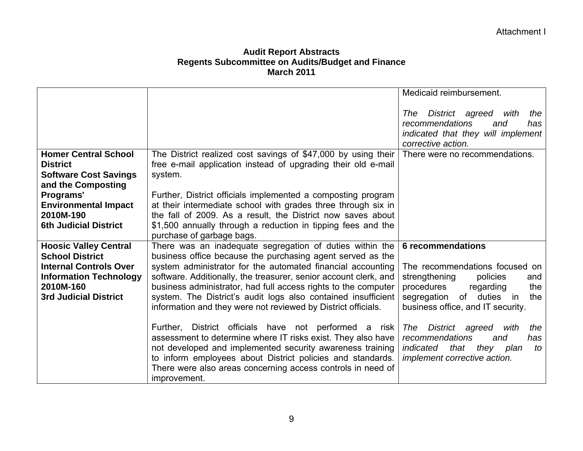|                                                                             |                                                                                                                                                                                                                                                                                                                                 | Medicaid reimbursement.                                                                                                                  |
|-----------------------------------------------------------------------------|---------------------------------------------------------------------------------------------------------------------------------------------------------------------------------------------------------------------------------------------------------------------------------------------------------------------------------|------------------------------------------------------------------------------------------------------------------------------------------|
|                                                                             |                                                                                                                                                                                                                                                                                                                                 | District agreed with<br>The<br>the<br>recommendations<br>has<br>and                                                                      |
|                                                                             |                                                                                                                                                                                                                                                                                                                                 | indicated that they will implement<br>corrective action.                                                                                 |
| <b>Homer Central School</b><br><b>District</b>                              | The District realized cost savings of \$47,000 by using their<br>free e-mail application instead of upgrading their old e-mail                                                                                                                                                                                                  | There were no recommendations.                                                                                                           |
| <b>Software Cost Savings</b><br>and the Composting                          | system.                                                                                                                                                                                                                                                                                                                         |                                                                                                                                          |
| Programs'<br><b>Environmental Impact</b>                                    | Further, District officials implemented a composting program<br>at their intermediate school with grades three through six in                                                                                                                                                                                                   |                                                                                                                                          |
| 2010M-190<br><b>6th Judicial District</b>                                   | the fall of 2009. As a result, the District now saves about<br>\$1,500 annually through a reduction in tipping fees and the<br>purchase of garbage bags.                                                                                                                                                                        |                                                                                                                                          |
| <b>Hoosic Valley Central</b><br><b>School District</b>                      | There was an inadequate segregation of duties within the<br>business office because the purchasing agent served as the                                                                                                                                                                                                          | <b>6</b> recommendations                                                                                                                 |
| <b>Internal Controls Over</b><br><b>Information Technology</b><br>2010M-160 | system administrator for the automated financial accounting<br>software. Additionally, the treasurer, senior account clerk, and<br>business administrator, had full access rights to the computer                                                                                                                               | The recommendations focused on<br>strengthening<br>policies<br>and<br>procedures<br>regarding<br>the                                     |
| <b>3rd Judicial District</b>                                                | system. The District's audit logs also contained insufficient<br>information and they were not reviewed by District officials.                                                                                                                                                                                                  | of duties in<br>segregation<br>the<br>business office, and IT security.                                                                  |
|                                                                             | Further, District officials have not performed a risk<br>assessment to determine where IT risks exist. They also have<br>not developed and implemented security awareness training<br>to inform employees about District policies and standards.<br>There were also areas concerning access controls in need of<br>improvement. | District agreed with<br>The<br>the<br>recommendations<br>and<br>has<br>indicated<br>that they plan<br>to<br>implement corrective action. |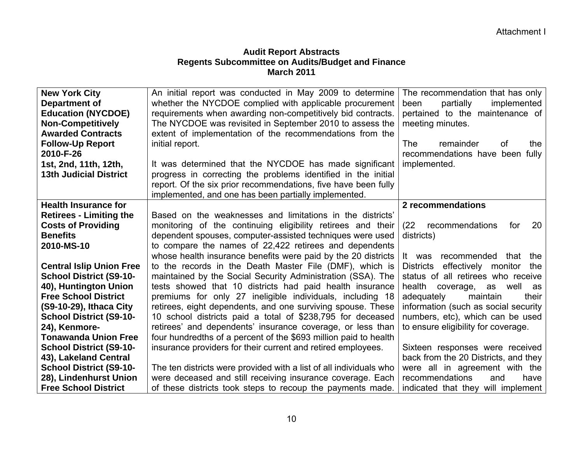| <b>New York City</b>            | An initial report was conducted in May 2009 to determine           | The recommendation that has only            |
|---------------------------------|--------------------------------------------------------------------|---------------------------------------------|
| <b>Department of</b>            | whether the NYCDOE complied with applicable procurement            | partially<br>implemented<br>been            |
| <b>Education (NYCDOE)</b>       | requirements when awarding non-competitively bid contracts.        | pertained to the maintenance of             |
| <b>Non-Competitively</b>        | The NYCDOE was revisited in September 2010 to assess the           | meeting minutes.                            |
| <b>Awarded Contracts</b>        | extent of implementation of the recommendations from the           |                                             |
|                                 |                                                                    |                                             |
| <b>Follow-Up Report</b>         | initial report.                                                    | remainder<br><b>of</b><br><b>The</b><br>the |
| 2010-F-26                       |                                                                    | recommendations have been fully             |
| 1st, 2nd, 11th, 12th,           | It was determined that the NYCDOE has made significant             | implemented.                                |
| <b>13th Judicial District</b>   | progress in correcting the problems identified in the initial      |                                             |
|                                 | report. Of the six prior recommendations, five have been fully     |                                             |
|                                 | implemented, and one has been partially implemented.               |                                             |
| <b>Health Insurance for</b>     |                                                                    | 2 recommendations                           |
| <b>Retirees - Limiting the</b>  | Based on the weaknesses and limitations in the districts'          |                                             |
| <b>Costs of Providing</b>       | monitoring of the continuing eligibility retirees and their        | (22)<br>recommendations<br>20<br>for        |
| <b>Benefits</b>                 | dependent spouses, computer-assisted techniques were used          | districts)                                  |
| 2010-MS-10                      | to compare the names of 22,422 retirees and dependents             |                                             |
|                                 | whose health insurance benefits were paid by the 20 districts      | recommended that<br>the<br>It was           |
| <b>Central Islip Union Free</b> | to the records in the Death Master File (DMF), which is            | Districts effectively monitor<br>the        |
| <b>School District (S9-10-</b>  | maintained by the Social Security Administration (SSA). The        | status of all retirees who receive          |
| 40), Huntington Union           | tests showed that 10 districts had paid health insurance           | health<br>well<br>coverage,<br>as<br>as     |
| <b>Free School District</b>     | premiums for only 27 ineligible individuals, including 18          | adequately<br>maintain<br>their             |
| (S9-10-29), Ithaca City         | retirees, eight dependents, and one surviving spouse. These        | information (such as social security        |
| <b>School District (S9-10-</b>  | 10 school districts paid a total of \$238,795 for deceased         | numbers, etc), which can be used            |
| 24), Kenmore-                   | retirees' and dependents' insurance coverage, or less than         | to ensure eligibility for coverage.         |
| <b>Tonawanda Union Free</b>     | four hundredths of a percent of the \$693 million paid to health   |                                             |
| <b>School District (S9-10-</b>  | insurance providers for their current and retired employees.       | Sixteen responses were received             |
| 43), Lakeland Central           |                                                                    | back from the 20 Districts, and they        |
| <b>School District (S9-10-</b>  | The ten districts were provided with a list of all individuals who | were all in agreement with the              |
| 28), Lindenhurst Union          | were deceased and still receiving insurance coverage. Each         | recommendations<br>and<br>have              |
| <b>Free School District</b>     | of these districts took steps to recoup the payments made.         | indicated that they will implement          |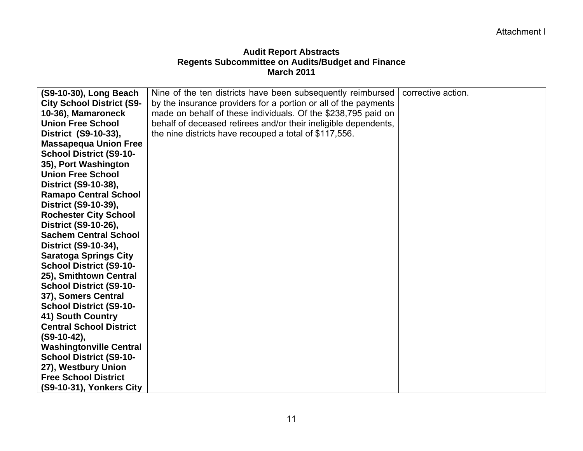| (S9-10-30), Long Beach           | Nine of the ten districts have been subsequently reimbursed     | corrective action. |
|----------------------------------|-----------------------------------------------------------------|--------------------|
| <b>City School District (S9-</b> | by the insurance providers for a portion or all of the payments |                    |
| 10-36), Mamaroneck               | made on behalf of these individuals. Of the \$238,795 paid on   |                    |
| <b>Union Free School</b>         | behalf of deceased retirees and/or their ineligible dependents, |                    |
| District (S9-10-33),             | the nine districts have recouped a total of \$117,556.          |                    |
| <b>Massapequa Union Free</b>     |                                                                 |                    |
| <b>School District (S9-10-</b>   |                                                                 |                    |
| 35), Port Washington             |                                                                 |                    |
| <b>Union Free School</b>         |                                                                 |                    |
| District (S9-10-38),             |                                                                 |                    |
| <b>Ramapo Central School</b>     |                                                                 |                    |
| District (S9-10-39),             |                                                                 |                    |
| <b>Rochester City School</b>     |                                                                 |                    |
| District (S9-10-26),             |                                                                 |                    |
| <b>Sachem Central School</b>     |                                                                 |                    |
| District (S9-10-34),             |                                                                 |                    |
| <b>Saratoga Springs City</b>     |                                                                 |                    |
| <b>School District (S9-10-</b>   |                                                                 |                    |
| 25), Smithtown Central           |                                                                 |                    |
| <b>School District (S9-10-</b>   |                                                                 |                    |
| 37), Somers Central              |                                                                 |                    |
| <b>School District (S9-10-</b>   |                                                                 |                    |
| 41) South Country                |                                                                 |                    |
| <b>Central School District</b>   |                                                                 |                    |
| $(S9-10-42)$ ,                   |                                                                 |                    |
| <b>Washingtonville Central</b>   |                                                                 |                    |
| <b>School District (S9-10-</b>   |                                                                 |                    |
| 27), Westbury Union              |                                                                 |                    |
| <b>Free School District</b>      |                                                                 |                    |
| (S9-10-31), Yonkers City         |                                                                 |                    |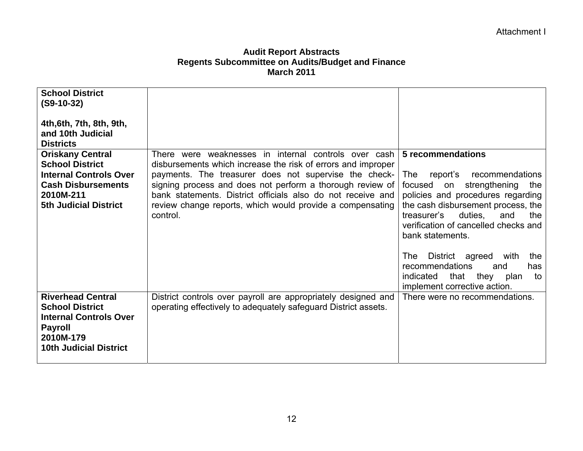| <b>School District</b><br>$(S9-10-32)$                     |                                                                                                                          |                                                                            |
|------------------------------------------------------------|--------------------------------------------------------------------------------------------------------------------------|----------------------------------------------------------------------------|
|                                                            |                                                                                                                          |                                                                            |
| 4th, 6th, 7th, 8th, 9th,                                   |                                                                                                                          |                                                                            |
| and 10th Judicial                                          |                                                                                                                          |                                                                            |
| <b>Districts</b>                                           |                                                                                                                          |                                                                            |
| <b>Oriskany Central</b>                                    | There were weaknesses in internal controls over cash                                                                     | 5 recommendations                                                          |
| <b>School District</b>                                     | disbursements which increase the risk of errors and improper                                                             |                                                                            |
| <b>Internal Controls Over</b><br><b>Cash Disbursements</b> | payments. The treasurer does not supervise the check-                                                                    | recommendations<br>report's<br>The                                         |
| 2010M-211                                                  | signing process and does not perform a thorough review of<br>bank statements. District officials also do not receive and | strengthening<br>focused<br>the<br>on<br>policies and procedures regarding |
| <b>5th Judicial District</b>                               | review change reports, which would provide a compensating                                                                | the cash disbursement process, the                                         |
|                                                            | control.                                                                                                                 | duties.<br>treasurer's<br>and<br>the                                       |
|                                                            |                                                                                                                          | verification of cancelled checks and                                       |
|                                                            |                                                                                                                          | bank statements.                                                           |
|                                                            |                                                                                                                          |                                                                            |
|                                                            |                                                                                                                          | District agreed<br>The<br>with<br>the                                      |
|                                                            |                                                                                                                          | recommendations<br>and<br>has                                              |
|                                                            |                                                                                                                          | indicated<br>that they<br>plan<br>to                                       |
|                                                            |                                                                                                                          | implement corrective action.                                               |
| <b>Riverhead Central</b>                                   | District controls over payroll are appropriately designed and                                                            | There were no recommendations.                                             |
| <b>School District</b>                                     | operating effectively to adequately safeguard District assets.                                                           |                                                                            |
| <b>Internal Controls Over</b>                              |                                                                                                                          |                                                                            |
| <b>Payroll</b><br>2010M-179                                |                                                                                                                          |                                                                            |
| <b>10th Judicial District</b>                              |                                                                                                                          |                                                                            |
|                                                            |                                                                                                                          |                                                                            |
|                                                            |                                                                                                                          |                                                                            |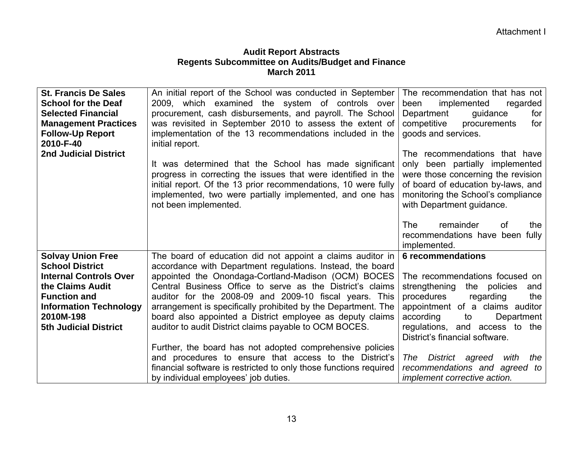| <b>St. Francis De Sales</b><br><b>School for the Deaf</b><br><b>Selected Financial</b><br><b>Management Practices</b><br><b>Follow-Up Report</b><br>2010-F-40<br><b>2nd Judicial District</b>                | An initial report of the School was conducted in September<br>2009, which examined the system of controls over<br>procurement, cash disbursements, and payroll. The School<br>was revisited in September 2010 to assess the extent of<br>implementation of the 13 recommendations included in the<br>initial report.<br>It was determined that the School has made significant<br>progress in correcting the issues that were identified in the<br>initial report. Of the 13 prior recommendations, 10 were fully<br>implemented, two were partially implemented, and one has<br>not been implemented. | The recommendation that has not<br>implemented<br>regarded<br>been<br>Department<br>for<br>guidance<br>competitive<br>procurements<br>for<br>goods and services.<br>The recommendations that have<br>only been partially implemented<br>were those concerning the revision<br>of board of education by-laws, and<br>monitoring the School's compliance<br>with Department guidance. |
|--------------------------------------------------------------------------------------------------------------------------------------------------------------------------------------------------------------|--------------------------------------------------------------------------------------------------------------------------------------------------------------------------------------------------------------------------------------------------------------------------------------------------------------------------------------------------------------------------------------------------------------------------------------------------------------------------------------------------------------------------------------------------------------------------------------------------------|-------------------------------------------------------------------------------------------------------------------------------------------------------------------------------------------------------------------------------------------------------------------------------------------------------------------------------------------------------------------------------------|
|                                                                                                                                                                                                              |                                                                                                                                                                                                                                                                                                                                                                                                                                                                                                                                                                                                        | <b>The</b><br>remainder<br>0f<br>the<br>recommendations have been fully<br>implemented.                                                                                                                                                                                                                                                                                             |
| <b>Solvay Union Free</b><br><b>School District</b><br><b>Internal Controls Over</b><br>the Claims Audit<br><b>Function and</b><br><b>Information Technology</b><br>2010M-198<br><b>5th Judicial District</b> | The board of education did not appoint a claims auditor in<br>accordance with Department regulations. Instead, the board<br>appointed the Onondaga-Cortland-Madison (OCM) BOCES<br>Central Business Office to serve as the District's claims<br>auditor for the 2008-09 and 2009-10 fiscal years. This<br>arrangement is specifically prohibited by the Department. The<br>board also appointed a District employee as deputy claims<br>auditor to audit District claims payable to OCM BOCES.                                                                                                         | <b>6 recommendations</b><br>The recommendations focused on<br>strengthening<br>the policies<br>and<br>procedures<br>regarding<br>the<br>appointment of a claims auditor<br>according<br>Department<br>to<br>regulations, and access to the<br>District's financial software.                                                                                                        |
|                                                                                                                                                                                                              | Further, the board has not adopted comprehensive policies<br>and procedures to ensure that access to the District's<br>financial software is restricted to only those functions required<br>by individual employees' job duties.                                                                                                                                                                                                                                                                                                                                                                       | District agreed<br>with<br>the<br>The<br>recommendations and agreed to<br><i>implement corrective action.</i>                                                                                                                                                                                                                                                                       |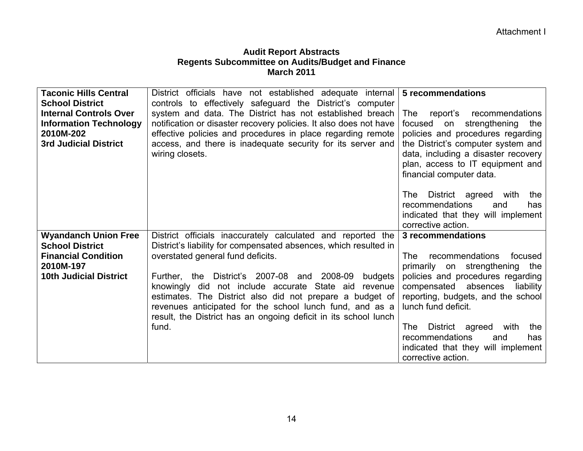| <b>Taconic Hills Central</b><br><b>School District</b><br><b>Internal Controls Over</b><br><b>Information Technology</b><br>2010M-202<br><b>3rd Judicial District</b> | District officials have not established adequate internal<br>controls to effectively safeguard the District's computer<br>system and data. The District has not established breach<br>notification or disaster recovery policies. It also does not have<br>effective policies and procedures in place regarding remote<br>access, and there is inadequate security for its server and<br>wiring closets.                                                                                      | 5 recommendations<br>report's recommendations<br>The<br>strengthening<br>focused<br>on<br>the<br>policies and procedures regarding<br>the District's computer system and<br>data, including a disaster recovery<br>plan, access to IT equipment and<br>financial computer data.<br>District agreed with<br>The<br>the<br>recommendations<br>and<br>has<br>indicated that they will implement |
|-----------------------------------------------------------------------------------------------------------------------------------------------------------------------|-----------------------------------------------------------------------------------------------------------------------------------------------------------------------------------------------------------------------------------------------------------------------------------------------------------------------------------------------------------------------------------------------------------------------------------------------------------------------------------------------|----------------------------------------------------------------------------------------------------------------------------------------------------------------------------------------------------------------------------------------------------------------------------------------------------------------------------------------------------------------------------------------------|
|                                                                                                                                                                       |                                                                                                                                                                                                                                                                                                                                                                                                                                                                                               | corrective action.                                                                                                                                                                                                                                                                                                                                                                           |
| <b>Wyandanch Union Free</b><br><b>School District</b><br><b>Financial Condition</b><br>2010M-197<br><b>10th Judicial District</b>                                     | District officials inaccurately calculated and reported the<br>District's liability for compensated absences, which resulted in<br>overstated general fund deficits.<br>Further, the District's 2007-08 and 2008-09<br>budgets<br>knowingly did not include accurate State aid<br>revenue<br>estimates. The District also did not prepare a budget of<br>revenues anticipated for the school lunch fund, and as a<br>result, the District has an ongoing deficit in its school lunch<br>fund. | 3 recommendations<br>recommendations<br>focused<br>The<br>primarily on strengthening<br>the<br>policies and procedures regarding<br>compensated absences<br>liability<br>reporting, budgets, and the school<br>lunch fund deficit.<br>District agreed<br>with<br>The:<br>the<br>recommendations<br>and<br>has<br>indicated that they will implement<br>corrective action.                    |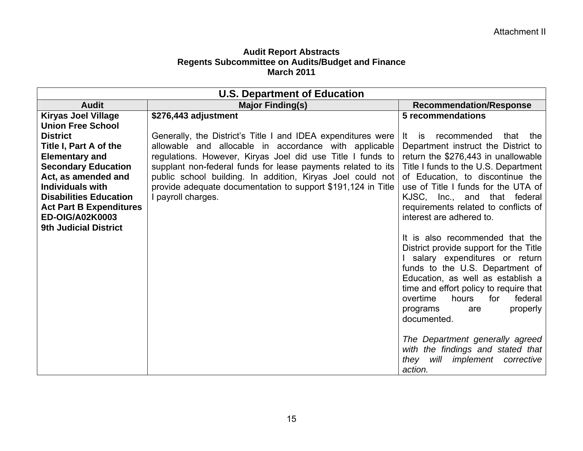| <b>U.S. Department of Education</b> |                                                              |                                                                                                                                                                                                                                                                                                                     |
|-------------------------------------|--------------------------------------------------------------|---------------------------------------------------------------------------------------------------------------------------------------------------------------------------------------------------------------------------------------------------------------------------------------------------------------------|
| <b>Audit</b>                        | <b>Major Finding(s)</b>                                      | <b>Recommendation/Response</b>                                                                                                                                                                                                                                                                                      |
| <b>Kiryas Joel Village</b>          | \$276,443 adjustment                                         | 5 recommendations                                                                                                                                                                                                                                                                                                   |
| <b>Union Free School</b>            |                                                              |                                                                                                                                                                                                                                                                                                                     |
| <b>District</b>                     | Generally, the District's Title I and IDEA expenditures were | recommended<br>that the<br>It is                                                                                                                                                                                                                                                                                    |
| Title I, Part A of the              | allowable and allocable in accordance with applicable        | Department instruct the District to                                                                                                                                                                                                                                                                                 |
| <b>Elementary and</b>               | regulations. However, Kiryas Joel did use Title I funds to   | return the \$276,443 in unallowable                                                                                                                                                                                                                                                                                 |
| <b>Secondary Education</b>          | supplant non-federal funds for lease payments related to its | Title I funds to the U.S. Department                                                                                                                                                                                                                                                                                |
| Act, as amended and                 | public school building. In addition, Kiryas Joel could not   | of Education, to discontinue the                                                                                                                                                                                                                                                                                    |
| <b>Individuals with</b>             | provide adequate documentation to support \$191,124 in Title | use of Title I funds for the UTA of                                                                                                                                                                                                                                                                                 |
| <b>Disabilities Education</b>       | I payroll charges.                                           | KJSC, Inc., and that federal                                                                                                                                                                                                                                                                                        |
| <b>Act Part B Expenditures</b>      |                                                              | requirements related to conflicts of                                                                                                                                                                                                                                                                                |
| ED-OIG/A02K0003                     |                                                              | interest are adhered to.                                                                                                                                                                                                                                                                                            |
| <b>9th Judicial District</b>        |                                                              | It is also recommended that the<br>District provide support for the Title<br>I salary expenditures or return<br>funds to the U.S. Department of<br>Education, as well as establish a<br>time and effort policy to require that<br>overtime<br>hours<br>for<br>federal<br>properly<br>programs<br>are<br>documented. |
|                                     |                                                              | The Department generally agreed<br>with the findings and stated that<br>will implement corrective<br>they<br>action.                                                                                                                                                                                                |